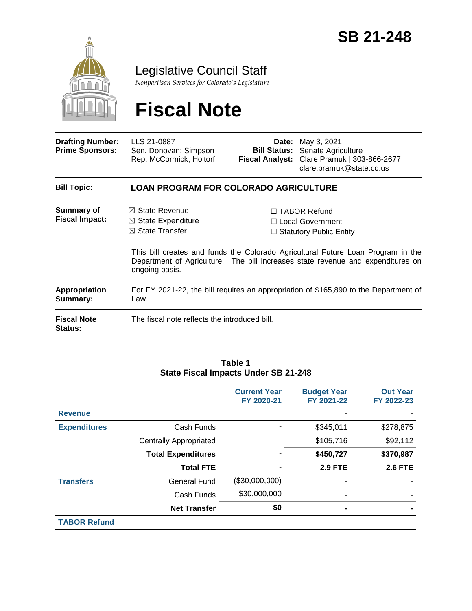

Legislative Council Staff

*Nonpartisan Services for Colorado's Legislature*

# **Fiscal Note**

| <b>Drafting Number:</b><br><b>Prime Sponsors:</b> | LLS 21-0887<br>Sen. Donovan; Simpson<br>Rep. McCormick; Holtorf                                            |  | <b>Date:</b> May 3, 2021<br><b>Bill Status:</b> Senate Agriculture<br>Fiscal Analyst: Clare Pramuk   303-866-2677<br>clare.pramuk@state.co.us                                                                                                      |  |  |
|---------------------------------------------------|------------------------------------------------------------------------------------------------------------|--|----------------------------------------------------------------------------------------------------------------------------------------------------------------------------------------------------------------------------------------------------|--|--|
| <b>Bill Topic:</b>                                | <b>LOAN PROGRAM FOR COLORADO AGRICULTURE</b>                                                               |  |                                                                                                                                                                                                                                                    |  |  |
| <b>Summary of</b><br><b>Fiscal Impact:</b>        | $\boxtimes$ State Revenue<br>$\boxtimes$ State Expenditure<br>$\boxtimes$ State Transfer<br>ongoing basis. |  | $\Box$ TABOR Refund<br>□ Local Government<br>$\Box$ Statutory Public Entity<br>This bill creates and funds the Colorado Agricultural Future Loan Program in the<br>Department of Agriculture. The bill increases state revenue and expenditures on |  |  |
| Appropriation<br>Summary:                         | For FY 2021-22, the bill requires an appropriation of \$165,890 to the Department of<br>Law.               |  |                                                                                                                                                                                                                                                    |  |  |
| <b>Fiscal Note</b><br><b>Status:</b>              | The fiscal note reflects the introduced bill.                                                              |  |                                                                                                                                                                                                                                                    |  |  |

#### **Table 1 State Fiscal Impacts Under SB 21-248**

|                     |                               | <b>Current Year</b><br>FY 2020-21 | <b>Budget Year</b><br>FY 2021-22 | <b>Out Year</b><br>FY 2022-23 |
|---------------------|-------------------------------|-----------------------------------|----------------------------------|-------------------------------|
| <b>Revenue</b>      |                               |                                   |                                  |                               |
| <b>Expenditures</b> | Cash Funds                    |                                   | \$345,011                        | \$278,875                     |
|                     | <b>Centrally Appropriated</b> |                                   | \$105,716                        | \$92,112                      |
|                     | <b>Total Expenditures</b>     |                                   | \$450,727                        | \$370,987                     |
|                     | <b>Total FTE</b>              |                                   | <b>2.9 FTE</b>                   | <b>2.6 FTE</b>                |
| <b>Transfers</b>    | General Fund                  | (\$30,000,000)                    | ۰                                |                               |
|                     | Cash Funds                    | \$30,000,000                      | -                                |                               |
|                     | <b>Net Transfer</b>           | \$0                               | $\blacksquare$                   |                               |
| <b>TABOR Refund</b> |                               |                                   |                                  |                               |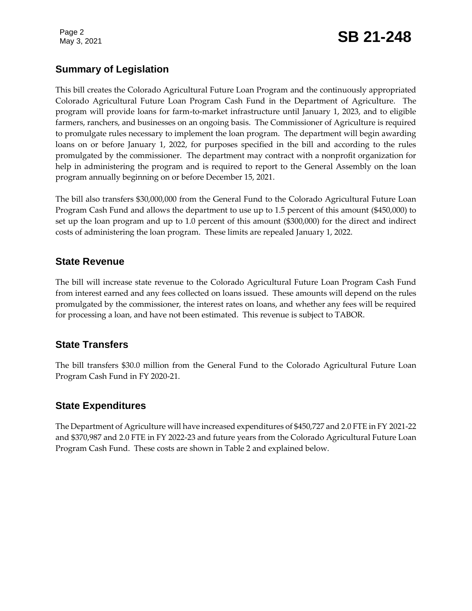Page 2

# Page 2<br>May 3, 2021 **SB 21-248**

## **Summary of Legislation**

This bill creates the Colorado Agricultural Future Loan Program and the continuously appropriated Colorado Agricultural Future Loan Program Cash Fund in the Department of Agriculture. The program will provide loans for farm-to-market infrastructure until January 1, 2023, and to eligible farmers, ranchers, and businesses on an ongoing basis. The Commissioner of Agriculture is required to promulgate rules necessary to implement the loan program. The department will begin awarding loans on or before January 1, 2022, for purposes specified in the bill and according to the rules promulgated by the commissioner. The department may contract with a nonprofit organization for help in administering the program and is required to report to the General Assembly on the loan program annually beginning on or before December 15, 2021.

The bill also transfers \$30,000,000 from the General Fund to the Colorado Agricultural Future Loan Program Cash Fund and allows the department to use up to 1.5 percent of this amount (\$450,000) to set up the loan program and up to 1.0 percent of this amount (\$300,000) for the direct and indirect costs of administering the loan program. These limits are repealed January 1, 2022.

#### **State Revenue**

The bill will increase state revenue to the Colorado Agricultural Future Loan Program Cash Fund from interest earned and any fees collected on loans issued. These amounts will depend on the rules promulgated by the commissioner, the interest rates on loans, and whether any fees will be required for processing a loan, and have not been estimated. This revenue is subject to TABOR.

#### **State Transfers**

The bill transfers \$30.0 million from the General Fund to the Colorado Agricultural Future Loan Program Cash Fund in FY 2020-21.

#### **State Expenditures**

The Department of Agriculture will have increased expenditures of \$450,727 and 2.0 FTE in FY 2021-22 and \$370,987 and 2.0 FTE in FY 2022-23 and future years from the Colorado Agricultural Future Loan Program Cash Fund. These costs are shown in Table 2 and explained below.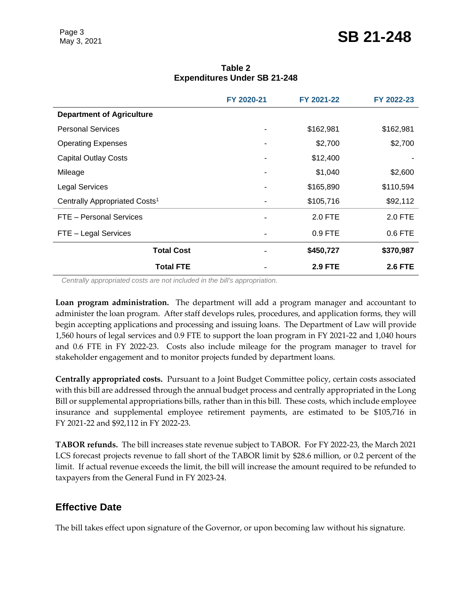|                                           | FY 2020-21               | FY 2021-22     | FY 2022-23     |
|-------------------------------------------|--------------------------|----------------|----------------|
| <b>Department of Agriculture</b>          |                          |                |                |
| <b>Personal Services</b>                  | ۰                        | \$162,981      | \$162,981      |
| <b>Operating Expenses</b>                 |                          | \$2,700        | \$2,700        |
| <b>Capital Outlay Costs</b>               | ۰                        | \$12,400       |                |
| Mileage                                   |                          | \$1,040        | \$2,600        |
| <b>Legal Services</b>                     | ۰.                       | \$165,890      | \$110,594      |
| Centrally Appropriated Costs <sup>1</sup> | ۰.                       | \$105,716      | \$92,112       |
| FTE - Personal Services                   | $\qquad \qquad$          | 2.0 FTE        | 2.0 FTE        |
| FTE - Legal Services                      | $\overline{\phantom{0}}$ | 0.9 FTE        | 0.6 FTE        |
| <b>Total Cost</b>                         | $\qquad \qquad$          | \$450,727      | \$370,987      |
| <b>Total FTE</b>                          |                          | <b>2.9 FTE</b> | <b>2.6 FTE</b> |

**Table 2 Expenditures Under SB 21-248**

*Centrally appropriated costs are not included in the bill's appropriation.*

**Loan program administration.** The department will add a program manager and accountant to administer the loan program. After staff develops rules, procedures, and application forms, they will begin accepting applications and processing and issuing loans. The Department of Law will provide 1,560 hours of legal services and 0.9 FTE to support the loan program in FY 2021-22 and 1,040 hours and 0.6 FTE in FY 2022-23. Costs also include mileage for the program manager to travel for stakeholder engagement and to monitor projects funded by department loans.

**Centrally appropriated costs.** Pursuant to a Joint Budget Committee policy, certain costs associated with this bill are addressed through the annual budget process and centrally appropriated in the Long Bill or supplemental appropriations bills, rather than in this bill. These costs, which include employee insurance and supplemental employee retirement payments, are estimated to be \$105,716 in FY 2021-22 and \$92,112 in FY 2022-23.

**TABOR refunds.** The bill increases state revenue subject to TABOR. For FY 2022-23, the March 2021 LCS forecast projects revenue to fall short of the TABOR limit by \$28.6 million, or 0.2 percent of the limit. If actual revenue exceeds the limit, the bill will increase the amount required to be refunded to taxpayers from the General Fund in FY 2023-24.

#### **Effective Date**

The bill takes effect upon signature of the Governor, or upon becoming law without his signature.